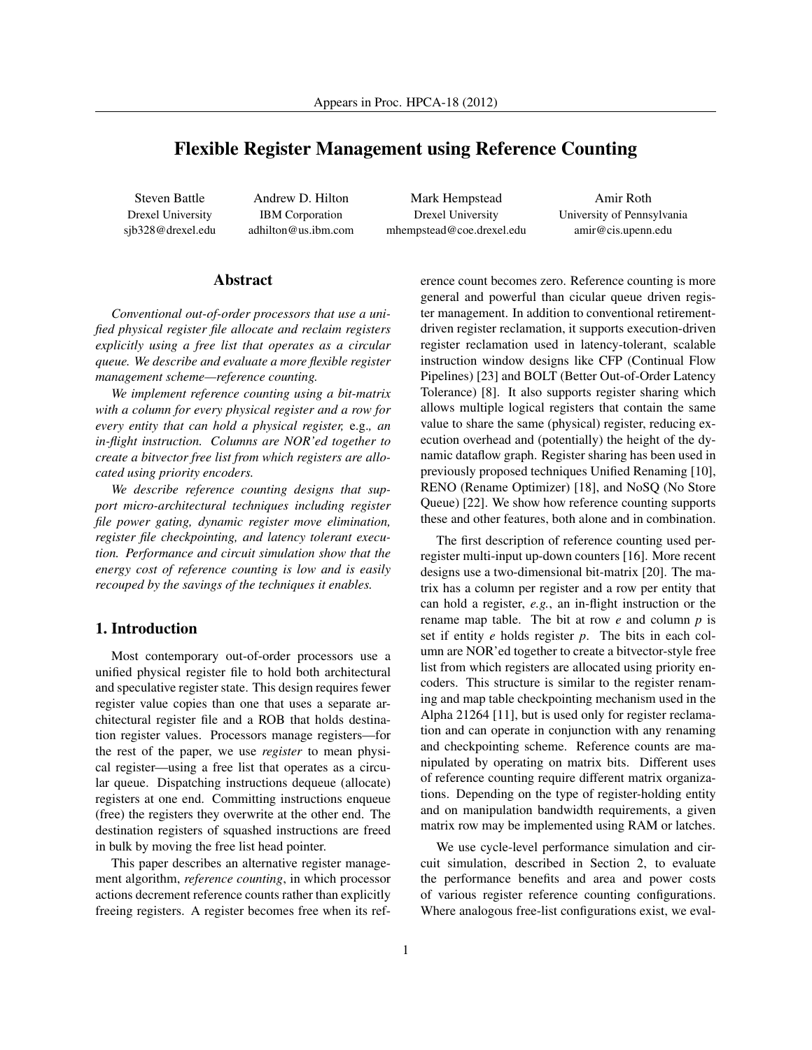# Flexible Register Management using Reference Counting

Steven Battle Drexel University sjb328@drexel.edu

Andrew D. Hilton IBM Corporation adhilton@us.ibm.com

Mark Hempstead Drexel University mhempstead@coe.drexel.edu

Amir Roth University of Pennsylvania amir@cis.upenn.edu

### Abstract

*Conventional out-of-order processors that use a unified physical register file allocate and reclaim registers explicitly using a free list that operates as a circular queue. We describe and evaluate a more flexible register management scheme—reference counting.*

*We implement reference counting using a bit-matrix with a column for every physical register and a row for every entity that can hold a physical register,* e.g.*, an in-flight instruction. Columns are NOR'ed together to create a bitvector free list from which registers are allocated using priority encoders.*

*We describe reference counting designs that support micro-architectural techniques including register file power gating, dynamic register move elimination, register file checkpointing, and latency tolerant execution. Performance and circuit simulation show that the energy cost of reference counting is low and is easily recouped by the savings of the techniques it enables.*

### 1. Introduction

Most contemporary out-of-order processors use a unified physical register file to hold both architectural and speculative register state. This design requires fewer register value copies than one that uses a separate architectural register file and a ROB that holds destination register values. Processors manage registers—for the rest of the paper, we use *register* to mean physical register—using a free list that operates as a circular queue. Dispatching instructions dequeue (allocate) registers at one end. Committing instructions enqueue (free) the registers they overwrite at the other end. The destination registers of squashed instructions are freed in bulk by moving the free list head pointer.

This paper describes an alternative register management algorithm, *reference counting*, in which processor actions decrement reference counts rather than explicitly freeing registers. A register becomes free when its reference count becomes zero. Reference counting is more general and powerful than cicular queue driven register management. In addition to conventional retirementdriven register reclamation, it supports execution-driven register reclamation used in latency-tolerant, scalable instruction window designs like CFP (Continual Flow Pipelines) [23] and BOLT (Better Out-of-Order Latency Tolerance) [8]. It also supports register sharing which allows multiple logical registers that contain the same value to share the same (physical) register, reducing execution overhead and (potentially) the height of the dynamic dataflow graph. Register sharing has been used in previously proposed techniques Unified Renaming [10], RENO (Rename Optimizer) [18], and NoSQ (No Store Queue) [22]. We show how reference counting supports these and other features, both alone and in combination.

The first description of reference counting used perregister multi-input up-down counters [16]. More recent designs use a two-dimensional bit-matrix [20]. The matrix has a column per register and a row per entity that can hold a register, *e.g.*, an in-flight instruction or the rename map table. The bit at row *e* and column *p* is set if entity *e* holds register *p*. The bits in each column are NOR'ed together to create a bitvector-style free list from which registers are allocated using priority encoders. This structure is similar to the register renaming and map table checkpointing mechanism used in the Alpha 21264 [11], but is used only for register reclamation and can operate in conjunction with any renaming and checkpointing scheme. Reference counts are manipulated by operating on matrix bits. Different uses of reference counting require different matrix organizations. Depending on the type of register-holding entity and on manipulation bandwidth requirements, a given matrix row may be implemented using RAM or latches.

We use cycle-level performance simulation and circuit simulation, described in Section 2, to evaluate the performance benefits and area and power costs of various register reference counting configurations. Where analogous free-list configurations exist, we eval-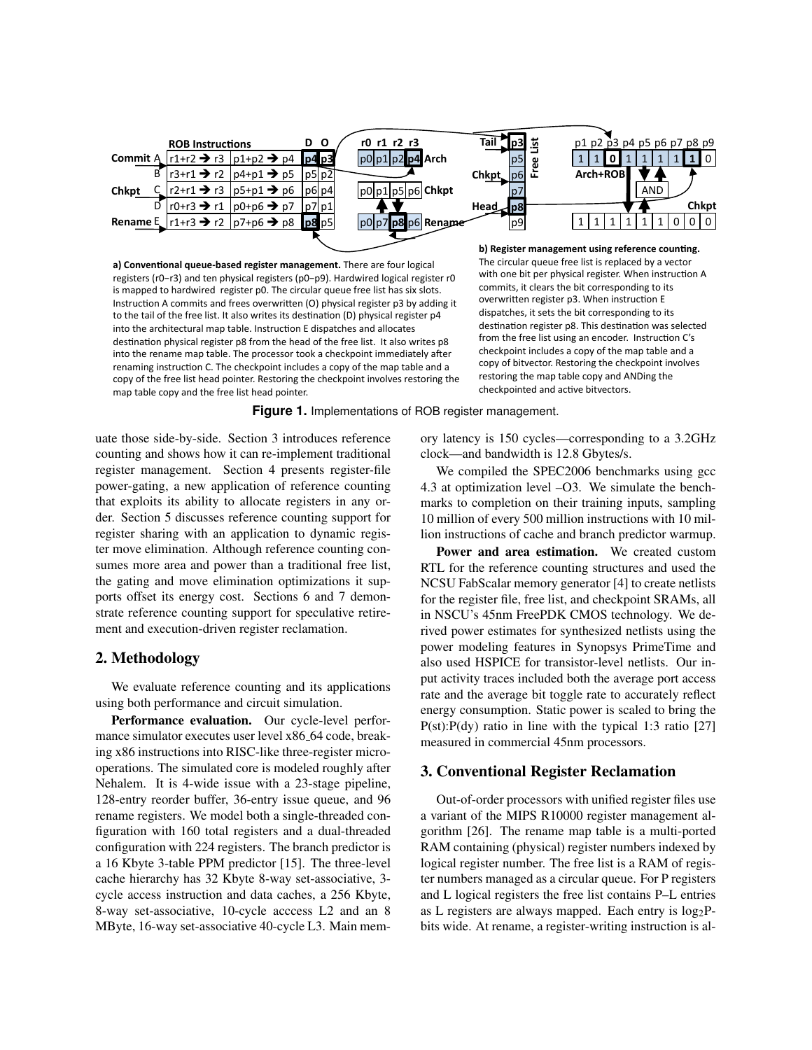

a) Conventional queue-based register management. There are four logical registers (r0-r3) and ten physical registers (p0-p9). Hardwired logical register r0 is mapped to hardwired register p0. The circular queue free list has six slots. Instruction A commits and frees overwritten (O) physical register p3 by adding it to the tail of the free list. It also writes its destination (D) physical register p4 into the architectural map table. Instruction E dispatches and allocates destination physical register p8 from the head of the free list. It also writes p8 into the rename map table. The processor took a checkpoint immediately after renaming instruction C. The checkpoint includes a copy of the map table and a copy of the free list head pointer. Restoring the checkpoint involves restoring the map table copy and the free list head pointer.

b) Register management using reference counting. The circular queue free list is replaced by a vector with one bit per physical register. When instruction A commits, it clears the bit corresponding to its overwritten register p3. When instruction E dispatches, it sets the bit corresponding to its destination register p8. This destination was selected from the free list using an encoder. Instruction C's checkpoint includes a copy of the map table and a copy of bitvector. Restoring the checkpoint involves restoring the map table copy and ANDing the checkpointed and active bitvectors.

**Figure 1.** Implementations of ROB register management.

uate those side-by-side. Section 3 introduces reference counting and shows how it can re-implement traditional register management. Section 4 presents register-file power-gating, a new application of reference counting that exploits its ability to allocate registers in any order. Section 5 discusses reference counting support for register sharing with an application to dynamic register move elimination. Although reference counting consumes more area and power than a traditional free list, the gating and move elimination optimizations it supports offset its energy cost. Sections 6 and 7 demonstrate reference counting support for speculative retirement and execution-driven register reclamation.

# 2. Methodology

We evaluate reference counting and its applications using both performance and circuit simulation.

Performance evaluation. Our cycle-level performance simulator executes user level x86\_64 code, breaking x86 instructions into RISC-like three-register microoperations. The simulated core is modeled roughly after Nehalem. It is 4-wide issue with a 23-stage pipeline, 128-entry reorder buffer, 36-entry issue queue, and 96 rename registers. We model both a single-threaded configuration with 160 total registers and a dual-threaded configuration with 224 registers. The branch predictor is a 16 Kbyte 3-table PPM predictor [15]. The three-level cache hierarchy has 32 Kbyte 8-way set-associative, 3cycle access instruction and data caches, a 256 Kbyte, 8-way set-associative, 10-cycle access L2 and an 8 MByte, 16-way set-associative 40-cycle L3. Main mem-

ory latency is 150 cycles—corresponding to a 3.2GHz clock—and bandwidth is 12.8 Gbytes/s.

We compiled the SPEC2006 benchmarks using gcc 4.3 at optimization level -O3. We simulate the benchmarks to completion on their training inputs, sampling 10 million of every 500 million instructions with 10 million instructions of cache and branch predictor warmup.

Power and area estimation. We created custom RTL for the reference counting structures and used the NCSU FabScalar memory generator [4] to create netlists for the register file, free list, and checkpoint SRAMs, all in NSCU's 45nm FreePDK CMOS technology. We derived power estimates for synthesized netlists using the power modeling features in Synopsys PrimeTime and also used HSPICE for transistor-level netlists. Our input activity traces included both the average port access rate and the average bit toggle rate to accurately reflect energy consumption. Static power is scaled to bring the  $P(st):P(dy)$  ratio in line with the typical 1:3 ratio [27] measured in commercial 45nm processors.

# **3. Conventional Register Reclamation**

Out-of-order processors with unified register files use a variant of the MIPS R10000 register management algorithm [26]. The rename map table is a multi-ported RAM containing (physical) register numbers indexed by logical register number. The free list is a RAM of register numbers managed as a circular queue. For P registers and L logical registers the free list contains P-L entries as L registers are always mapped. Each entry is  $log_2P$ bits wide. At rename, a register-writing instruction is al-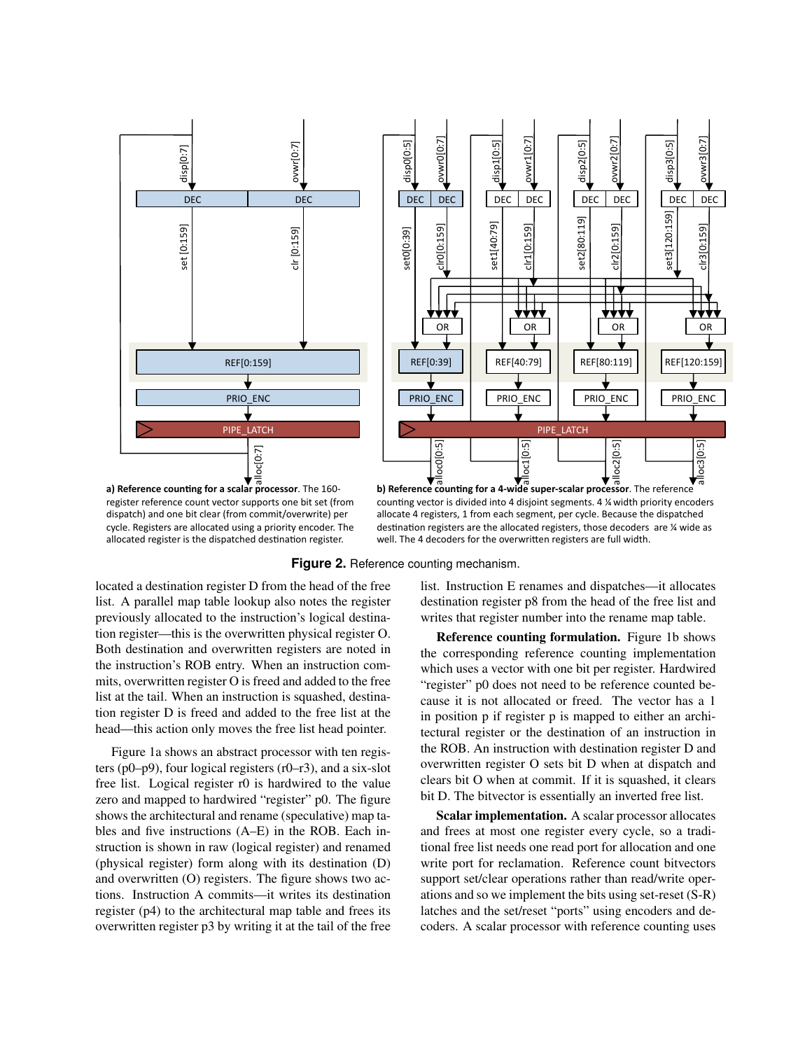

register reference count vector supports one bit set (from dispatch) and one bit clear (from commit/overwrite) per cycle. Registers are allocated using a priority encoder. The allocated register is the dispatched destination register.

counting vector is divided into 4 disjoint segments. 4 % width priority encoders allocate 4 registers, 1 from each segment, per cycle. Because the dispatched destination registers are the allocated registers, those decoders  $*$  are  $*$  wide as well. The 4 decoders for the overwritten registers are full width.

**Figure 2.** Reference counting mechanism.

located a destination register D from the head of the free list. A parallel map table lookup also notes the register previously allocated to the instruction's logical destination register—this is the overwritten physical register O. Both destination and overwritten registers are noted in the instruction's ROB entry. When an instruction commits, overwritten register O is freed and added to the free list at the tail. When an instruction is squashed, destination register D is freed and added to the free list at the head—this action only moves the free list head pointer.

Figure 1a shows an abstract processor with ten registers ( $p0-p9$ ), four logical registers ( $r0-r3$ ), and a six-slot free list. Logical register r0 is hardwired to the value zero and mapped to hardwired "register" p0. The figure shows the architectural and rename (speculative) map tables and five instructions (A–E) in the ROB. Each instruction is shown in raw (logical register) and renamed (physical register) form along with its destination (D) and overwritten (O) registers. The figure shows two actions. Instruction A commits—it writes its destination register (p4) to the architectural map table and frees its overwritten register p3 by writing it at the tail of the free list. Instruction E renames and dispatches—it allocates destination register p8 from the head of the free list and writes that register number into the rename map table.

Reference counting formulation. Figure 1b shows the corresponding reference counting implementation which uses a vector with one bit per register. Hardwired "register" p0 does not need to be reference counted because it is not allocated or freed. The vector has a 1 in position p if register p is mapped to either an architectural register or the destination of an instruction in the ROB. An instruction with destination register D and overwritten register O sets bit D when at dispatch and clears bit O when at commit. If it is squashed, it clears bit D. The bitvector is essentially an inverted free list.

Scalar implementation. A scalar processor allocates and frees at most one register every cycle, so a traditional free list needs one read port for allocation and one write port for reclamation. Reference count bitvectors support set/clear operations rather than read/write operations and so we implement the bits using set-reset (S-R) latches and the set/reset "ports" using encoders and decoders. A scalar processor with reference counting uses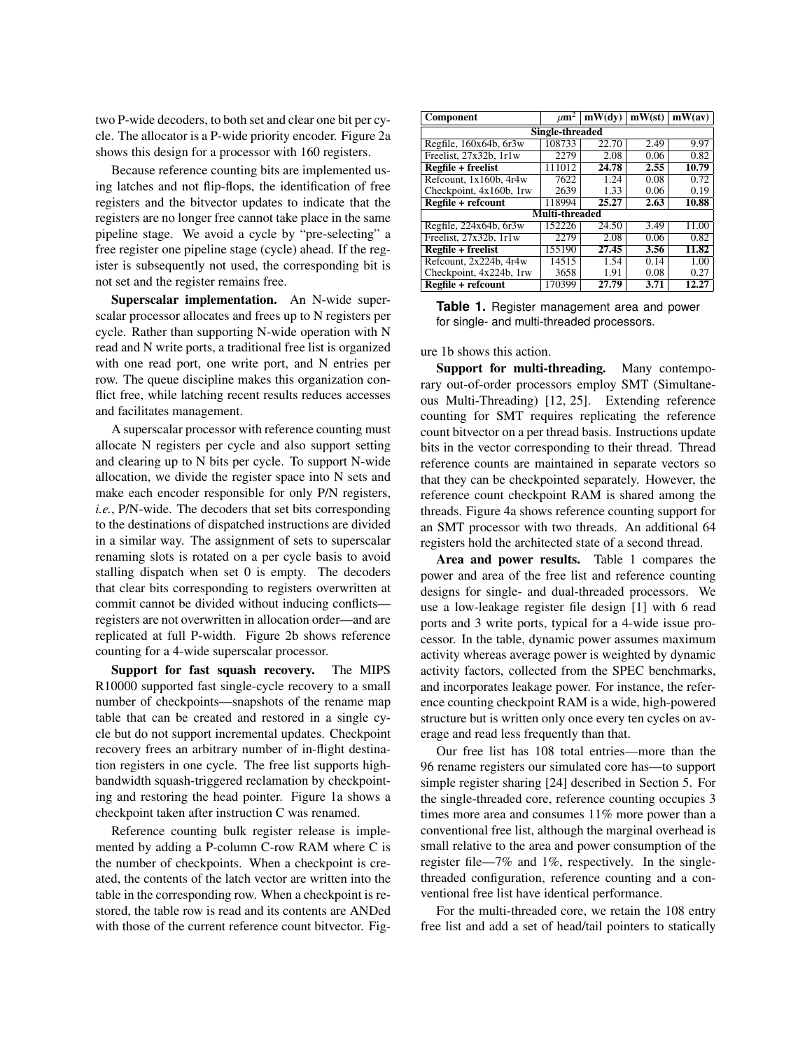two P-wide decoders, to both set and clear one bit per cycle. The allocator is a P-wide priority encoder. Figure 2a shows this design for a processor with 160 registers.

Because reference counting bits are implemented using latches and not flip-flops, the identification of free registers and the bitvector updates to indicate that the registers are no longer free cannot take place in the same pipeline stage. We avoid a cycle by "pre-selecting" a free register one pipeline stage (cycle) ahead. If the register is subsequently not used, the corresponding bit is not set and the register remains free.

Superscalar implementation. An N-wide superscalar processor allocates and frees up to N registers per cycle. Rather than supporting N-wide operation with N read and N write ports, a traditional free list is organized with one read port, one write port, and N entries per row. The queue discipline makes this organization conflict free, while latching recent results reduces accesses and facilitates management.

A superscalar processor with reference counting must allocate N registers per cycle and also support setting and clearing up to N bits per cycle. To support N-wide allocation, we divide the register space into N sets and make each encoder responsible for only P/N registers, *i.e.*, P/N-wide. The decoders that set bits corresponding to the destinations of dispatched instructions are divided in a similar way. The assignment of sets to superscalar renaming slots is rotated on a per cycle basis to avoid stalling dispatch when set 0 is empty. The decoders that clear bits corresponding to registers overwritten at commit cannot be divided without inducing conflicts registers are not overwritten in allocation order—and are replicated at full P-width. Figure 2b shows reference counting for a 4-wide superscalar processor.

Support for fast squash recovery. The MIPS R10000 supported fast single-cycle recovery to a small number of checkpoints—snapshots of the rename map table that can be created and restored in a single cycle but do not support incremental updates. Checkpoint recovery frees an arbitrary number of in-flight destination registers in one cycle. The free list supports highbandwidth squash-triggered reclamation by checkpointing and restoring the head pointer. Figure 1a shows a checkpoint taken after instruction C was renamed.

Reference counting bulk register release is implemented by adding a P-column C-row RAM where C is the number of checkpoints. When a checkpoint is created, the contents of the latch vector are written into the table in the corresponding row. When a checkpoint is restored, the table row is read and its contents are ANDed with those of the current reference count bitvector. Fig-

| Component                   | $\mu$ m <sup>2</sup> | mW(dy) | mW(st) | mW(av) |  |  |  |  |  |
|-----------------------------|----------------------|--------|--------|--------|--|--|--|--|--|
| Single-threaded             |                      |        |        |        |  |  |  |  |  |
| Regfile, 160x64b, 6r3w      | 108733               | 22.70  | 2.49   | 9.97   |  |  |  |  |  |
| Freelist, 27x32b, 1r1w      | 2279                 | 2.08   | 0.06   | 0.82   |  |  |  |  |  |
| Regfile + freelist          | 111012               | 24.78  | 2.55   | 10.79  |  |  |  |  |  |
| Refcount, $1x160b$ , $4r4w$ | 7622                 | 1.24   | 0.08   | 0.72   |  |  |  |  |  |
| Checkpoint, 4x160b, 1rw     | 2639                 | 1.33   | 0.06   | 0.19   |  |  |  |  |  |
| $Regfile + refcount$        | 118994               | 25.27  | 2.63   | 10.88  |  |  |  |  |  |
|                             | Multi-threaded       |        |        |        |  |  |  |  |  |
| Regfile, $224x64b$ , 6r3w   | 152226               | 24.50  | 3.49   | 11.00  |  |  |  |  |  |
| Freelist, 27x32b, 1r1w      | 2279                 | 2.08   | 0.06   | 0.82   |  |  |  |  |  |
| Regfile + freelist          | 155190               | 27.45  | 3.56   | 11.82  |  |  |  |  |  |
| Refcount, 2x224b, 4r4w      | 14515                | 1.54   | 0.14   | 1.00   |  |  |  |  |  |
| Checkpoint, 4x224b, 1rw     | 3658                 | 1.91   | 0.08   | 0.27   |  |  |  |  |  |
| Regfile + refcount          | 170399               | 27.79  | 3.71   | 12.27  |  |  |  |  |  |

**Table 1.** Register management area and power for single- and multi-threaded processors.

ure 1b shows this action.

Support for multi-threading. Many contemporary out-of-order processors employ SMT (Simultaneous Multi-Threading) [12, 25]. Extending reference counting for SMT requires replicating the reference count bitvector on a per thread basis. Instructions update bits in the vector corresponding to their thread. Thread reference counts are maintained in separate vectors so that they can be checkpointed separately. However, the reference count checkpoint RAM is shared among the threads. Figure 4a shows reference counting support for an SMT processor with two threads. An additional 64 registers hold the architected state of a second thread.

Area and power results. Table 1 compares the power and area of the free list and reference counting designs for single- and dual-threaded processors. We use a low-leakage register file design [1] with 6 read ports and 3 write ports, typical for a 4-wide issue processor. In the table, dynamic power assumes maximum activity whereas average power is weighted by dynamic activity factors, collected from the SPEC benchmarks, and incorporates leakage power. For instance, the reference counting checkpoint RAM is a wide, high-powered structure but is written only once every ten cycles on average and read less frequently than that.

Our free list has 108 total entries—more than the 96 rename registers our simulated core has—to support simple register sharing [24] described in Section 5. For the single-threaded core, reference counting occupies 3 times more area and consumes 11% more power than a conventional free list, although the marginal overhead is small relative to the area and power consumption of the register file—7% and 1%, respectively. In the singlethreaded configuration, reference counting and a conventional free list have identical performance.

For the multi-threaded core, we retain the 108 entry free list and add a set of head/tail pointers to statically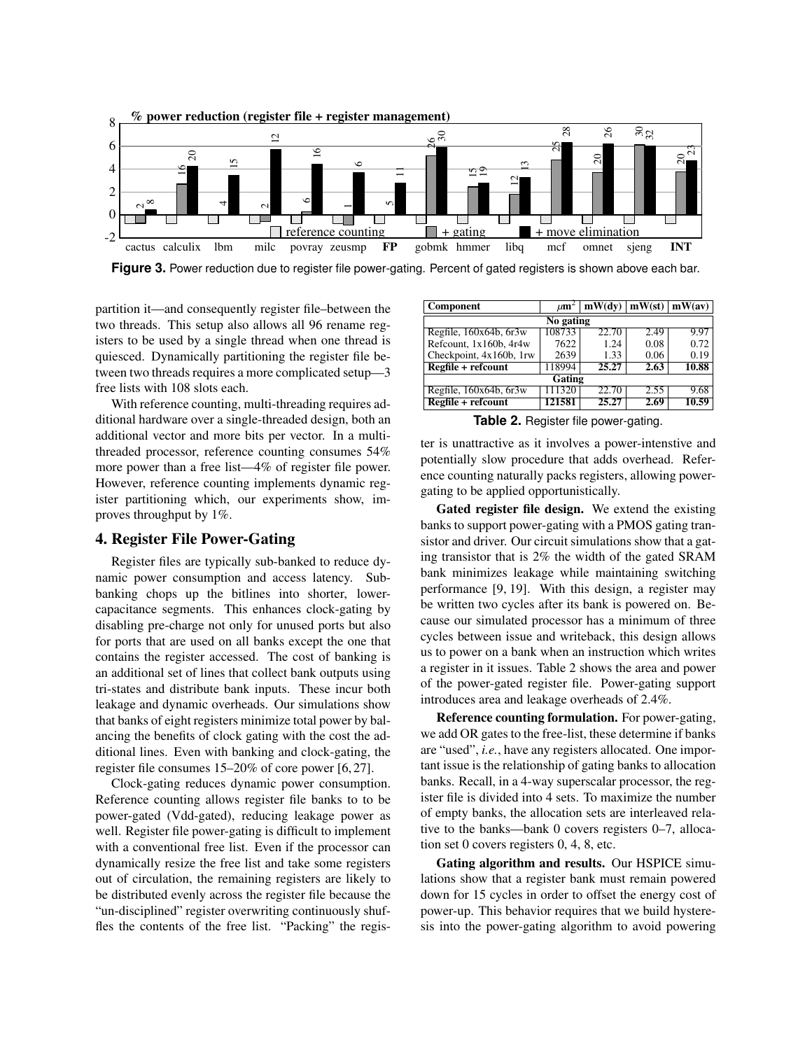

**Figure 3.** Power reduction due to register file power-gating. Percent of gated registers is shown above each bar.

partition it—and consequently register file–between the two threads. This setup also allows all 96 rename registers to be used by a single thread when one thread is quiesced. Dynamically partitioning the register file between two threads requires a more complicated setup—3 free lists with 108 slots each.

With reference counting, multi-threading requires additional hardware over a single-threaded design, both an additional vector and more bits per vector. In a multithreaded processor, reference counting consumes 54% more power than a free list—4% of register file power. However, reference counting implements dynamic register partitioning which, our experiments show, improves throughput by 1%.

# 4. Register File Power-Gating

Register files are typically sub-banked to reduce dynamic power consumption and access latency. Subbanking chops up the bitlines into shorter, lowercapacitance segments. This enhances clock-gating by disabling pre-charge not only for unused ports but also for ports that are used on all banks except the one that contains the register accessed. The cost of banking is an additional set of lines that collect bank outputs using tri-states and distribute bank inputs. These incur both leakage and dynamic overheads. Our simulations show that banks of eight registers minimize total power by balancing the benefits of clock gating with the cost the additional lines. Even with banking and clock-gating, the register file consumes 15–20% of core power [6, 27].

Clock-gating reduces dynamic power consumption. Reference counting allows register file banks to to be power-gated (Vdd-gated), reducing leakage power as well. Register file power-gating is difficult to implement with a conventional free list. Even if the processor can dynamically resize the free list and take some registers out of circulation, the remaining registers are likely to be distributed evenly across the register file because the "un-disciplined" register overwriting continuously shuffles the contents of the free list. "Packing" the regis-

| Component                   | $\mu$ m <sup>2</sup> | $ \text{mW(dv)}  \text{mW(st)}  \text{mW(av)} $ |      |       |  |  |  |  |  |
|-----------------------------|----------------------|-------------------------------------------------|------|-------|--|--|--|--|--|
| No gating                   |                      |                                                 |      |       |  |  |  |  |  |
| Regfile, $160x64b$ , $6r3w$ | 108733               | 22.70                                           | 2.49 | 9.97  |  |  |  |  |  |
| Refcount, 1x160b, 4r4w      | 7622                 | 1.24                                            | 0.08 | 0.72  |  |  |  |  |  |
| Checkpoint, 4x160b, 1rw     | 2639                 | 1.33                                            | 0.06 | 0.19  |  |  |  |  |  |
| Regfile + refcount          | 118994               | 25.27                                           | 2.63 | 10.88 |  |  |  |  |  |
| Gating                      |                      |                                                 |      |       |  |  |  |  |  |
| Regfile, $160x64b$ , $6x3w$ | 111320               | 22.70                                           | 2.55 | 9.68  |  |  |  |  |  |
| Regfile + refcount          | 121581               | 25.27                                           | 2.69 | 10.59 |  |  |  |  |  |

**Table 2.** Register file power-gating.

ter is unattractive as it involves a power-intenstive and potentially slow procedure that adds overhead. Reference counting naturally packs registers, allowing powergating to be applied opportunistically.

Gated register file design. We extend the existing banks to support power-gating with a PMOS gating transistor and driver. Our circuit simulations show that a gating transistor that is 2% the width of the gated SRAM bank minimizes leakage while maintaining switching performance [9, 19]. With this design, a register may be written two cycles after its bank is powered on. Because our simulated processor has a minimum of three cycles between issue and writeback, this design allows us to power on a bank when an instruction which writes a register in it issues. Table 2 shows the area and power of the power-gated register file. Power-gating support introduces area and leakage overheads of 2.4%.

Reference counting formulation. For power-gating, we add OR gates to the free-list, these determine if banks are "used", *i.e.*, have any registers allocated. One important issue is the relationship of gating banks to allocation banks. Recall, in a 4-way superscalar processor, the register file is divided into 4 sets. To maximize the number of empty banks, the allocation sets are interleaved relative to the banks—bank 0 covers registers 0–7, allocation set 0 covers registers 0, 4, 8, etc.

Gating algorithm and results. Our HSPICE simulations show that a register bank must remain powered down for 15 cycles in order to offset the energy cost of power-up. This behavior requires that we build hysteresis into the power-gating algorithm to avoid powering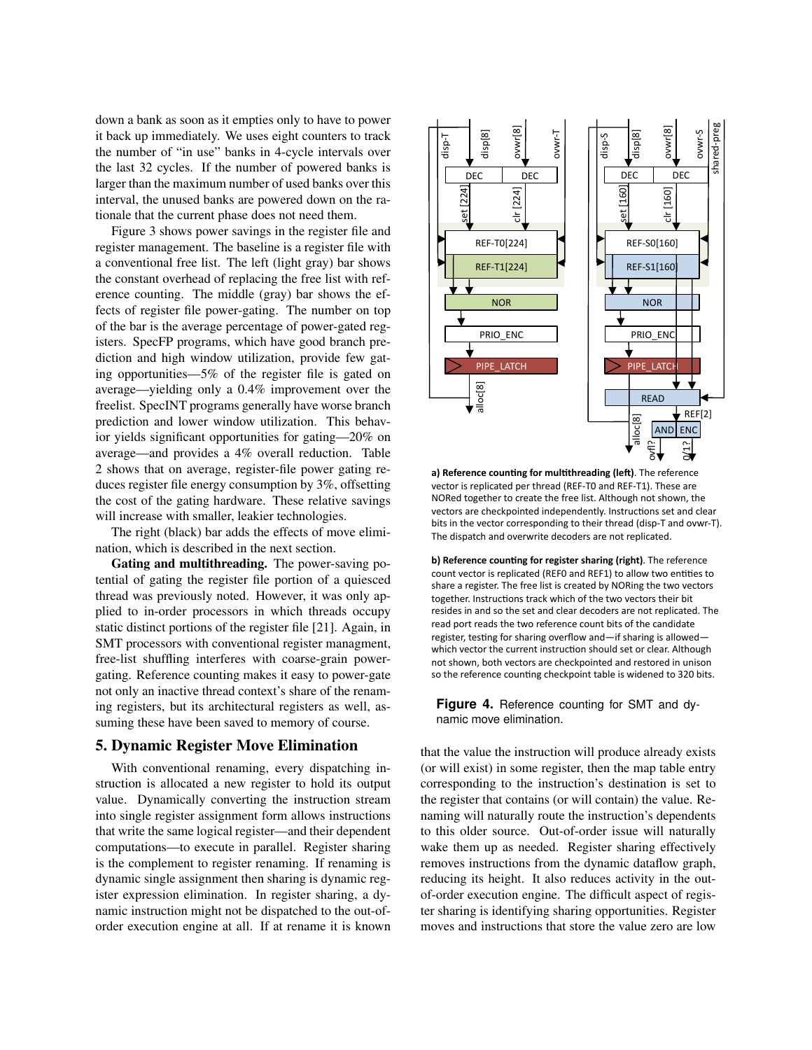down a bank as soon as it empties only to have to power it back up immediately. We uses eight counters to track the number of "in use" banks in 4-cycle intervals over the last 32 cycles. If the number of powered banks is larger than the maximum number of used banks over this interval, the unused banks are powered down on the rationale that the current phase does not need them.

Figure 3 shows power savings in the register file and register management. The baseline is a register file with a conventional free list. The left (light gray) bar shows the constant overhead of replacing the free list with reference counting. The middle (gray) bar shows the effects of register file power-gating. The number on top of the bar is the average percentage of power-gated registers. SpecFP programs, which have good branch prediction and high window utilization, provide few gating opportunities—5% of the register file is gated on average—yielding only a 0.4% improvement over the freelist. SpecINT programs generally have worse branch prediction and lower window utilization. This behavior yields significant opportunities for gating—20% on average—and provides a 4% overall reduction. Table 2 shows that on average, register-file power gating reduces register file energy consumption by 3%, offsetting the cost of the gating hardware. These relative savings will increase with smaller, leakier technologies.

The right (black) bar adds the effects of move elimination, which is described in the next section.

Gating and multithreading. The power-saving potential of gating the register file portion of a quiesced thread was previously noted. However, it was only applied to in-order processors in which threads occupy static distinct portions of the register file [21]. Again, in SMT processors with conventional register managment, free-list shuffling interferes with coarse-grain powergating. Reference counting makes it easy to power-gate not only an inactive thread context's share of the renaming registers, but its architectural registers as well, assuming these have been saved to memory of course.

### 5. Dynamic Register Move Elimination

With conventional renaming, every dispatching instruction is allocated a new register to hold its output value. Dynamically converting the instruction stream into single register assignment form allows instructions that write the same logical register—and their dependent computations—to execute in parallel. Register sharing is the complement to register renaming. If renaming is dynamic single assignment then sharing is dynamic register expression elimination. In register sharing, a dynamic instruction might not be dispatched to the out-oforder execution engine at all. If at rename it is known



a) Reference counting for multithreading (left). The reference vector is replicated per thread (REF-T0 and REF-T1). These are NORed together to create the free list. Although not shown, the vectors are checkpointed independently. Instructions set and clear bits in the vector corresponding to their thread (disp-T and ovwr-T). The dispatch and overwrite decoders are not replicated.

**b) Reference counting for register sharing (right)**. The reference count vector is replicated (REF0 and REF1) to allow two entities to share a register. The free list is created by NORing the two vectors together. Instructions track which of the two vectors their bit resides in and so the set and clear decoders are not replicated. The read port reads the two reference count bits of the candidate register, testing for sharing overflow and—if sharing is allowed which vector the current instruction should set or clear. Although not shown, both vectors are checkpointed and restored in unison so the reference counting checkpoint table is widened to 320 bits.

**Figure 4.** Reference counting for SMT and dynamic move elimination.

that the value the instruction will produce already exists (or will exist) in some register, then the map table entry corresponding to the instruction's destination is set to the register that contains (or will contain) the value. Renaming will naturally route the instruction's dependents to this older source. Out-of-order issue will naturally wake them up as needed. Register sharing effectively removes instructions from the dynamic dataflow graph, reducing its height. It also reduces activity in the outof-order execution engine. The difficult aspect of register sharing is identifying sharing opportunities. Register moves and instructions that store the value zero are low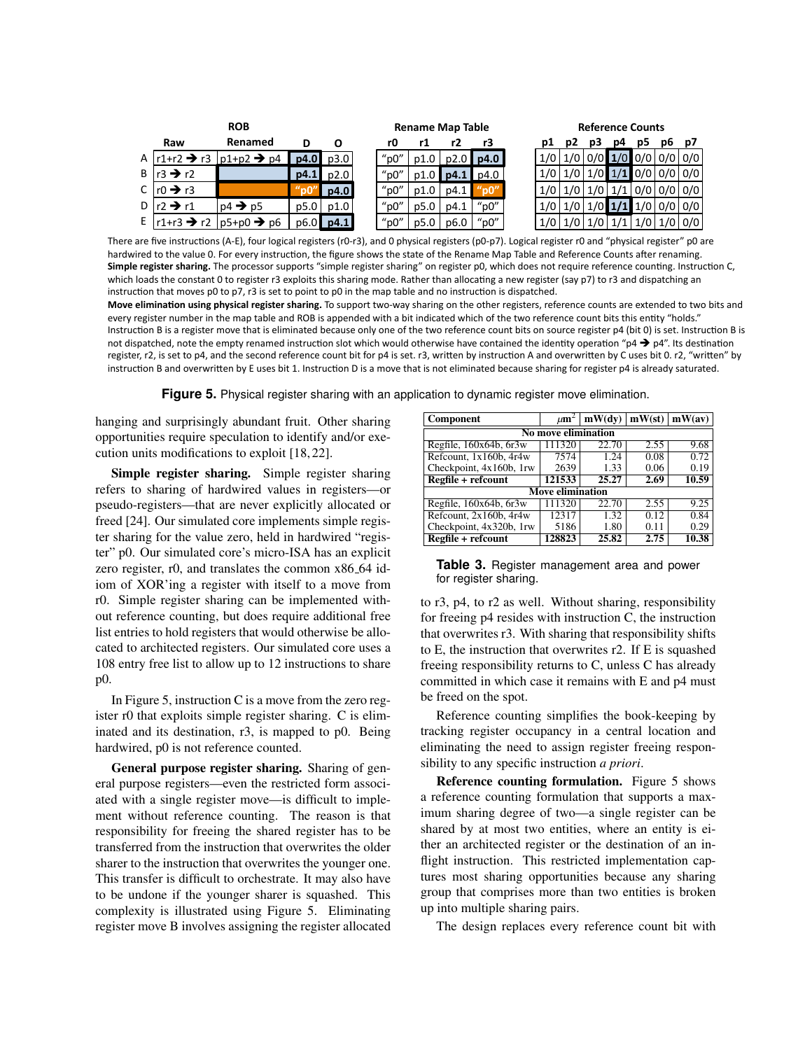| <b>ROB</b> |                               |                                                                 |                      | <b>Rename Map Table</b> |                                        |      |               | <b>Reference Counts</b> |  |                  |  |    |    |    |    |               |
|------------|-------------------------------|-----------------------------------------------------------------|----------------------|-------------------------|----------------------------------------|------|---------------|-------------------------|--|------------------|--|----|----|----|----|---------------|
|            | Raw                           | Renamed                                                         | D                    | O                       | rO                                     |      | r2            | r3                      |  | DІ               |  | pЗ | p4 | pь | pь | <b>D7</b>     |
|            |                               | A $\vert$ r1+r2 $\rightarrow$ r3 $\vert$ p1+p2 $\rightarrow$ p4 |                      | p4.0 p3.0               | $"$ p $0"$                             | p1.0 |               | $p2.0$   $p4.0$         |  |                  |  |    |    |    |    |               |
|            | B $\vert$ r3 $\rightarrow$ r2 |                                                                 |                      | $p4.1$ $p2.0$           | $"$ p $0"$                             |      | $p1.0$   p4.1 | p4.0                    |  |                  |  |    |    |    |    |               |
|            | C $\ln 0 \rightarrow r3$      |                                                                 | $^{\prime\prime}$ nn | p4.0                    | " $0$ "                                | p1.0 | p4.1          | "n0"                    |  | 1/0 <sub>1</sub> |  |    |    |    |    |               |
|            | D $\vert$ r2 $\rightarrow$ r1 | $\mathsf{p4}\rightarrow \mathsf{p5}$                            | p5.0                 | p1.0                    | $"$ p $0"$                             | p5.0 | p4.1          | " $p0"$                 |  |                  |  |    |    |    |    |               |
| ΕI         |                               | $\lceil r1+r3 \rightarrow r2 \rceil p5+p0 \rightarrow p6$       |                      | $p6.0$ p4.1             | $^{\prime\prime}$ p $0^{\prime\prime}$ | p5.0 | p6.0          | " $p0"$                 |  |                  |  |    |    |    |    | $1/0$   $0/0$ |

There are five instructions (A-E), four logical registers (r0-r3), and 0 physical registers (p0-p7). Logical register r0 and "physical register" p0 are hardwired to the value 0. For every instruction, the figure shows the state of the Rename Map Table and Reference Counts after renaming. Simple register sharing. The processor supports "simple register sharing" on register p0, which does not require reference counting. Instruction C, which loads the constant 0 to register r3 exploits this sharing mode. Rather than allocating a new register (say p7) to r3 and dispatching an instruction that moves p0 to p7, r3 is set to point to p0 in the map table and no instruction is dispatched.

Move elimination using physical register sharing. To support two-way sharing on the other registers, reference counts are extended to two bits and every register number in the map table and ROB is appended with a bit indicated which of the two reference count bits this entity "holds." Instruction B is a register move that is eliminated because only one of the two reference count bits on source register p4 (bit 0) is set. Instruction B is not dispatched, note the empty renamed instruction slot which would otherwise have contained the identity operation " $p4 \rightarrow p4$ ". Its destination register, r2, is set to p4, and the second reference count bit for p4 is set. r3, written by instruction A and overwritten by C uses bit 0. r2, "written" by instruction B and overwritten by E uses bit 1. Instruction D is a move that is not eliminated because sharing for register p4 is already saturated.

**Figure 5.** Physical register sharing with an application to dynamic register move elimination.

hanging and surprisingly abundant fruit. Other sharing opportunities require speculation to identify and/or execution units modifications to exploit [18, 22].

Simple register sharing. Simple register sharing refers to sharing of hardwired values in registers-or pseudo-registers—that are never explicitly allocated or freed [24]. Our simulated core implements simple register sharing for the value zero, held in hardwired "register" p0. Our simulated core's micro-ISA has an explicit zero register, r0, and translates the common x86\_64 idiom of XOR'ing a register with itself to a move from r0. Simple register sharing can be implemented without reference counting, but does require additional free list entries to hold registers that would otherwise be allocated to architected registers. Our simulated core uses a 108 entry free list to allow up to 12 instructions to share p0.

In Figure 5, instruction  $C$  is a move from the zero register r0 that exploits simple register sharing. C is eliminated and its destination, r3, is mapped to p0. Being hardwired, p0 is not reference counted.

General purpose register sharing. Sharing of general purpose registers—even the restricted form associated with a single register move—is difficult to implement without reference counting. The reason is that responsibility for freeing the shared register has to be transferred from the instruction that overwrites the older sharer to the instruction that overwrites the younger one. This transfer is difficult to orchestrate. It may also have to be undone if the younger sharer is squashed. This complexity is illustrated using Figure 5. Eliminating register move B involves assigning the register allocated

| Component                   | $\mu$ m <sup>2</sup>    | $ \text{mW(dy)} $ mW(st) $ \text{mW(av)} $ |      |       |  |  |  |  |  |
|-----------------------------|-------------------------|--------------------------------------------|------|-------|--|--|--|--|--|
| No move elimination         |                         |                                            |      |       |  |  |  |  |  |
| Regfile, $160x64b$ , $6r3w$ | 111320                  | 22.70                                      | 2.55 | 9.68  |  |  |  |  |  |
| Refcount, 1x160b, 4r4w      | 7574                    | 1.24                                       | 0.08 | 0.72  |  |  |  |  |  |
| Checkpoint, 4x160b, 1rw     | 2639                    | 1.33                                       | 0.06 | 0.19  |  |  |  |  |  |
| $Regfile + refcount$        | 121533                  | 25.27                                      | 2.69 | 10.59 |  |  |  |  |  |
|                             | <b>Move elimination</b> |                                            |      |       |  |  |  |  |  |
| Regfile, $160x64b$ , $6x3w$ | 111320                  | 22.70                                      | 2.55 | 9.25  |  |  |  |  |  |
| Refeount, $2x160b$ , $4r4w$ | 12317                   | 1.32                                       | 0.12 | 0.84  |  |  |  |  |  |
| Checkpoint, 4x320b, 1rw     | 5186                    | 1.80                                       | 0.11 | 0.29  |  |  |  |  |  |
| Regfile + refcount          | 128823                  | 25.82                                      | 2.75 | 10.38 |  |  |  |  |  |

#### Table 3. Register management area and power for register sharing.

to r3, p4, to r2 as well. Without sharing, responsibility for freeing p4 resides with instruction C, the instruction that overwrites r3. With sharing that responsibility shifts to E, the instruction that overwrites r2. If E is squashed freeing responsibility returns to C, unless C has already committed in which case it remains with E and p4 must be freed on the spot.

Reference counting simplifies the book-keeping by tracking register occupancy in a central location and eliminating the need to assign register freeing responsibility to any specific instruction a priori.

Reference counting formulation. Figure 5 shows a reference counting formulation that supports a maximum sharing degree of two—a single register can be shared by at most two entities, where an entity is either an architected register or the destination of an inflight instruction. This restricted implementation captures most sharing opportunities because any sharing group that comprises more than two entities is broken up into multiple sharing pairs.

The design replaces every reference count bit with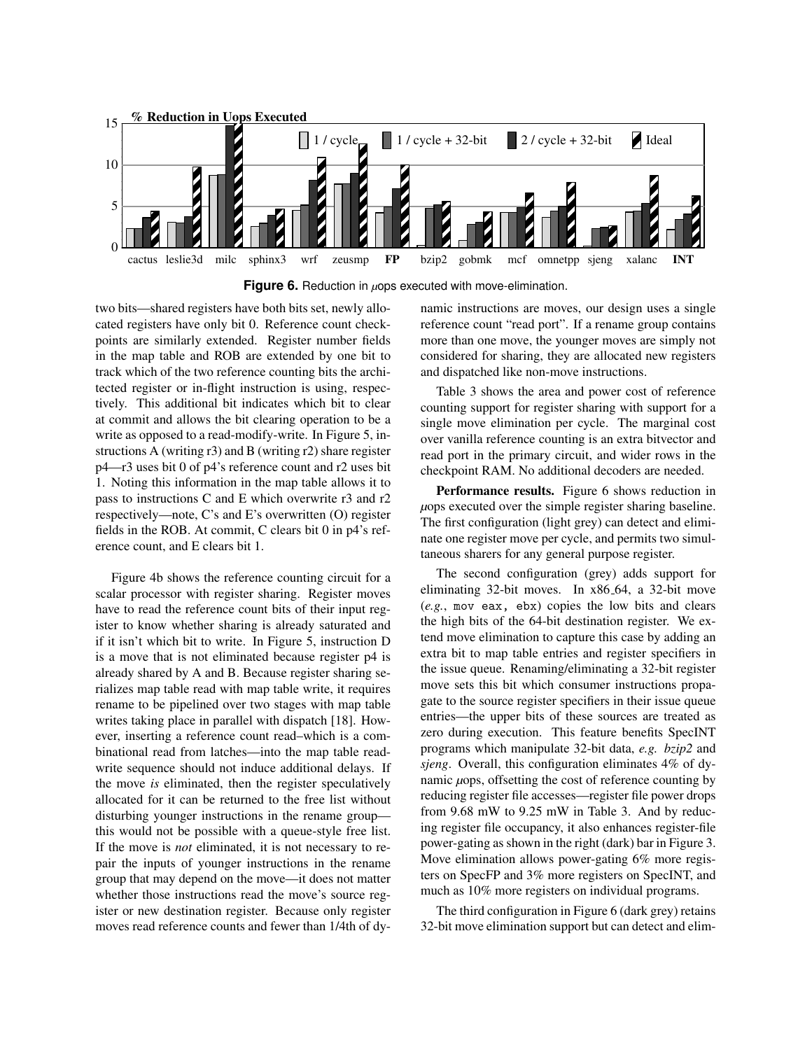

**Figure 6.** Reduction in *µ*ops executed with move-elimination.

two bits—shared registers have both bits set, newly allocated registers have only bit 0. Reference count checkpoints are similarly extended. Register number fields in the map table and ROB are extended by one bit to track which of the two reference counting bits the architected register or in-flight instruction is using, respectively. This additional bit indicates which bit to clear at commit and allows the bit clearing operation to be a write as opposed to a read-modify-write. In Figure 5, instructions A (writing r3) and B (writing r2) share register p4—r3 uses bit 0 of p4's reference count and r2 uses bit 1. Noting this information in the map table allows it to pass to instructions C and E which overwrite r3 and r2 respectively—note, C's and E's overwritten (O) register fields in the ROB. At commit, C clears bit 0 in p4's reference count, and E clears bit 1.

Figure 4b shows the reference counting circuit for a scalar processor with register sharing. Register moves have to read the reference count bits of their input register to know whether sharing is already saturated and if it isn't which bit to write. In Figure 5, instruction D is a move that is not eliminated because register p4 is already shared by A and B. Because register sharing serializes map table read with map table write, it requires rename to be pipelined over two stages with map table writes taking place in parallel with dispatch [18]. However, inserting a reference count read–which is a combinational read from latches—into the map table readwrite sequence should not induce additional delays. If the move *is* eliminated, then the register speculatively allocated for it can be returned to the free list without disturbing younger instructions in the rename group this would not be possible with a queue-style free list. If the move is *not* eliminated, it is not necessary to repair the inputs of younger instructions in the rename group that may depend on the move—it does not matter whether those instructions read the move's source register or new destination register. Because only register moves read reference counts and fewer than 1/4th of dynamic instructions are moves, our design uses a single reference count "read port". If a rename group contains more than one move, the younger moves are simply not considered for sharing, they are allocated new registers and dispatched like non-move instructions.

Table 3 shows the area and power cost of reference counting support for register sharing with support for a single move elimination per cycle. The marginal cost over vanilla reference counting is an extra bitvector and read port in the primary circuit, and wider rows in the checkpoint RAM. No additional decoders are needed.

Performance results. Figure 6 shows reduction in *µ*ops executed over the simple register sharing baseline. The first configuration (light grey) can detect and eliminate one register move per cycle, and permits two simultaneous sharers for any general purpose register.

The second configuration (grey) adds support for eliminating 32-bit moves. In x86 64, a 32-bit move (*e.g.*, mov eax, ebx) copies the low bits and clears the high bits of the 64-bit destination register. We extend move elimination to capture this case by adding an extra bit to map table entries and register specifiers in the issue queue. Renaming/eliminating a 32-bit register move sets this bit which consumer instructions propagate to the source register specifiers in their issue queue entries—the upper bits of these sources are treated as zero during execution. This feature benefits SpecINT programs which manipulate 32-bit data, *e.g. bzip2* and *sjeng*. Overall, this configuration eliminates 4% of dynamic *µ*ops, offsetting the cost of reference counting by reducing register file accesses—register file power drops from 9.68 mW to 9.25 mW in Table 3. And by reducing register file occupancy, it also enhances register-file power-gating as shown in the right (dark) bar in Figure 3. Move elimination allows power-gating 6% more registers on SpecFP and 3% more registers on SpecINT, and much as 10% more registers on individual programs.

The third configuration in Figure 6 (dark grey) retains 32-bit move elimination support but can detect and elim-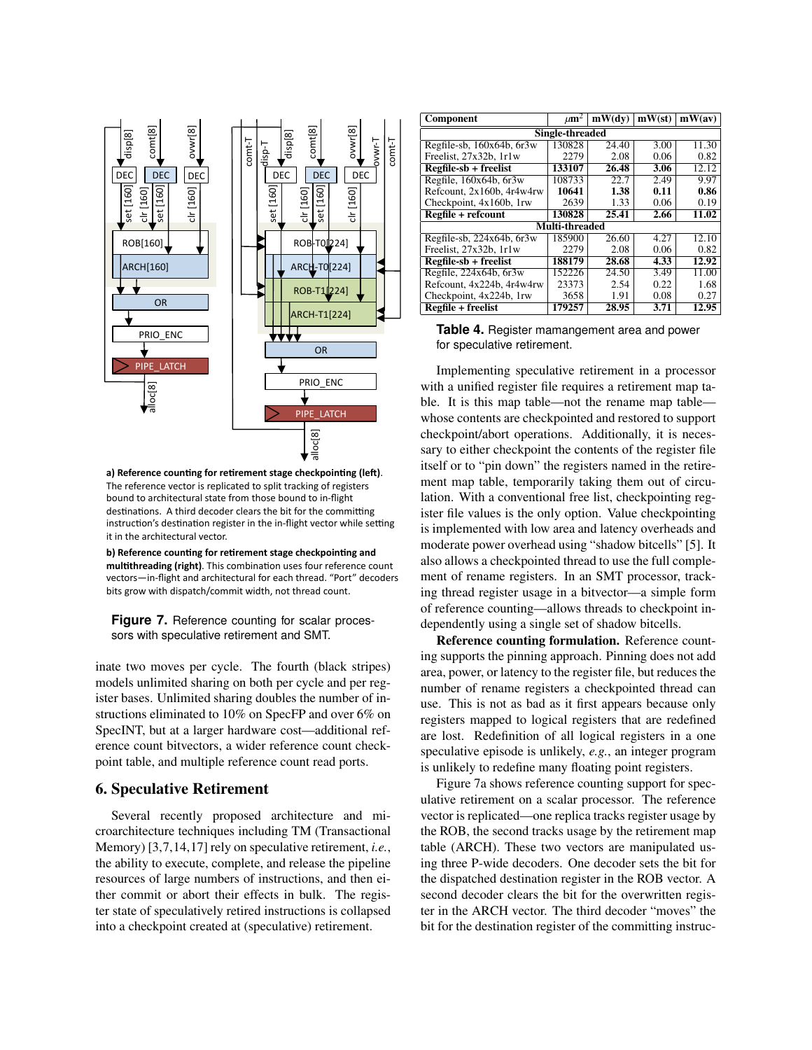

a) Reference counting for retirement stage checkpointing (left). The reference vector is replicated to split tracking of registers bound to architectural state from those bound to in-flight destinations. A third decoder clears the bit for the committing instruction's destination register in the in-flight vector while setting it in the architectural vector.

**b) Reference counting for retirement stage checkpointing and** multithreading (right). This combination uses four reference count vectors-in-flight and architectural for each thread. "Port" decoders bits grow with dispatch/commit width, not thread count.

**Figure 7.** Reference counting for scalar processors with speculative retirement and SMT.

inate two moves per cycle. The fourth (black stripes) models unlimited sharing on both per cycle and per register bases. Unlimited sharing doubles the number of instructions eliminated to 10% on SpecFP and over 6% on SpecINT, but at a larger hardware cost—additional reference count bitvectors, a wider reference count checkpoint table, and multiple reference count read ports.

# 6. Speculative Retirement

Several recently proposed architecture and microarchitecture techniques including TM (Transactional Memory) [3,7,14,17] rely on speculative retirement, *i.e.*, the ability to execute, complete, and release the pipeline resources of large numbers of instructions, and then either commit or abort their effects in bulk. The register state of speculatively retired instructions is collapsed into a checkpoint created at (speculative) retirement.

| <b>Component</b>               | $\mu$ m <sup>2</sup> | mW(dv) | mW(st) | mW(av) |  |  |  |  |  |
|--------------------------------|----------------------|--------|--------|--------|--|--|--|--|--|
| Single-threaded                |                      |        |        |        |  |  |  |  |  |
| Regfile-sb, 160x64b, 6r3w      | 130828               | 24.40  | 3.00   | 11.30  |  |  |  |  |  |
| Freelist, 27x32b, 1r1w         | 2279                 | 2.08   | 0.06   | 0.82   |  |  |  |  |  |
| $Regfile-sb + freelist$        | 133107               | 26.48  | 3.06   | 12.12  |  |  |  |  |  |
| Regfile, 160x64b, 6r3w         | 108733               | 22.7   | 2.49   | 9.97   |  |  |  |  |  |
| Refcount, 2x160b, 4r4w4rw      | 10641                | 1.38   | 0.11   | 0.86   |  |  |  |  |  |
| Checkpoint, 4x160b, 1rw        | 2639                 | 1.33   | 0.06   | 0.19   |  |  |  |  |  |
| Regfile + refcount             | 130828               | 25.41  | 2.66   | 11.02  |  |  |  |  |  |
|                                | Multi-threaded       |        |        |        |  |  |  |  |  |
| Regfile-sb, $224x64b$ , $6r3w$ | 185900               | 26.60  | 4.27   | 12.10  |  |  |  |  |  |
| Freelist, 27x32b, 1r1w         | 2279                 | 2.08   | 0.06   | 0.82   |  |  |  |  |  |
| Regfile-sb + freelist          | 188179               | 28.68  | 4.33   | 12.92  |  |  |  |  |  |
| Regfile, 224x64b, 6r3w         | 152226               | 24.50  | 3.49   | 11.00  |  |  |  |  |  |
| Refcount, 4x224b, 4r4w4rw      | 23373                | 2.54   | 0.22   | 1.68   |  |  |  |  |  |
| Checkpoint, 4x224b, 1rw        | 3658                 | 1.91   | 0.08   | 0.27   |  |  |  |  |  |
| <b>Regfile + freelist</b>      | 179257               | 28.95  | 3.71   | 12.95  |  |  |  |  |  |

| Table 4. Register mamangement area and power |  |
|----------------------------------------------|--|
| for speculative retirement.                  |  |

checkpoint/abort operations. Additionally, it is necesble. It is this map table—not the rename map table incht map taole, temporality taking them out of encu-<br>lation. With a conventional free list, checkpointing reg-<br>ister file values is the only option. Value checkpointing itself or to "pin down" the registers named in the retire-Implementing speculative retirement in a processor  $\frac{1}{2}$ is implemented with low area and latency overheads and moderate power overhead using "shadow bitcells" [5]. It reference in the change of the allocations. The process of the allocation of the condition of the condition of the condition of the condition of the condition of the condition of the condition of the condition of the condi also allows a checkpointed thread to use the full complement of rename registers. In an SMT processor, tracking thread register usage in a bitvector—a simple form with a unified register file requires a retirement map tawhose contents are checkpointed and restored to support sary to either checkpoint the contents of the register file ment map table, temporarily taking them out of circuister file values is the only option. Value checkpointing of reference counting—allows threads to checkpoint independently using a single set of shadow bitcells.

Reference counting formulation. Reference counting supports the pinning approach. Pinning does not add area, power, or latency to the register file, but reduces the number of rename registers a checkpointed thread can use. This is not as bad as it first appears because only registers mapped to logical registers that are redefined are lost. Redefinition of all logical registers in a one speculative episode is unlikely, *e.g.*, an integer program is unlikely to redefine many floating point registers.

Figure 7a shows reference counting support for speculative retirement on a scalar processor. The reference vector is replicated—one replica tracks register usage by the ROB, the second tracks usage by the retirement map table (ARCH). These two vectors are manipulated using three P-wide decoders. One decoder sets the bit for the dispatched destination register in the ROB vector. A second decoder clears the bit for the overwritten register in the ARCH vector. The third decoder "moves" the bit for the destination register of the committing instruc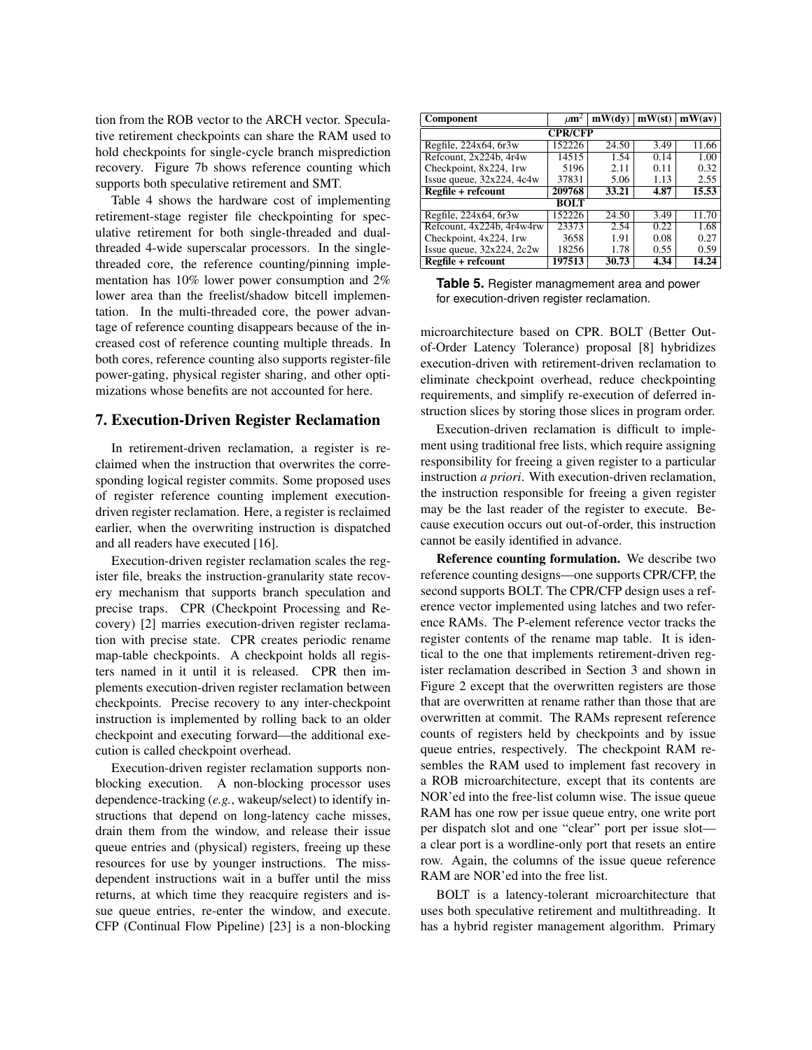tion from the ROB vector to the ARCH vector. Speculative retirement checkpoints can share the RAM used to hold checkpoints for single-cycle branch misprediction recovery. Figure 7b shows reference counting which supports both speculative retirement and SMT.

Table 4 shows the hardware cost of implementing retirement-stage register file checkpointing for speculative retirement for both single-threaded and dualthreaded 4-wide superscalar processors. In the singlethreaded core, the reference counting/pinning implementation has 10% lower power consumption and 2% lower area than the freelist/shadow bitcell implementation. In the multi-threaded core, the power advantage of reference counting disappears because of the increased cost of reference counting multiple threads. In both cores, reference counting also supports register-file power-gating, physical register sharing, and other optimizations whose benefits are not accounted for here.

### 7. Execution-Driven Register Reclamation

In retirement-driven reclamation, a register is reclaimed when the instruction that overwrites the corresponding logical register commits. Some proposed uses of register reference counting implement executiondriven register reclamation. Here, a register is reclaimed earlier, when the overwriting instruction is dispatched and all readers have executed [16].

Execution-driven register reclamation scales the register file, breaks the instruction-granularity state recovery mechanism that supports branch speculation and precise traps. CPR (Checkpoint Processing and Recovery) [2] marries execution-driven register reclamation with precise state. CPR creates periodic rename map-table checkpoints. A checkpoint holds all registers named in it until it is released. CPR then implements execution-driven register reclamation between checkpoints. Precise recovery to any inter-checkpoint instruction is implemented by rolling back to an older checkpoint and executing forward—the additional execution is called checkpoint overhead.

Execution-driven register reclamation supports nonblocking execution. A non-blocking processor uses dependence-tracking (*e.g.*, wakeup/select) to identify instructions that depend on long-latency cache misses, drain them from the window, and release their issue queue entries and (physical) registers, freeing up these resources for use by younger instructions. The missdependent instructions wait in a buffer until the miss returns, at which time they reacquire registers and issue queue entries, re-enter the window, and execute. CFP (Continual Flow Pipeline) [23] is a non-blocking

| <b>Component</b>               | $\mu$ m <sup>2</sup> | mW(dv) | mW(st) | mW(av) |  |  |  |  |
|--------------------------------|----------------------|--------|--------|--------|--|--|--|--|
| <b>CPR/CFP</b>                 |                      |        |        |        |  |  |  |  |
| Regfile, 224x64, 6r3w          | 152226               | 24.50  | 3.49   | 11.66  |  |  |  |  |
| Refcount, 2x224b, 4r4w         | 14515                | 1.54   | 0.14   | 1.00   |  |  |  |  |
| Checkpoint, 8x224, 1rw         | 5196                 | 2.11   | 0.11   | 0.32   |  |  |  |  |
| Issue queue, $32x224$ , $4c4w$ | 37831                | 5.06   | 1.13   | 2.55   |  |  |  |  |
| Regfile + refcount             | 209768               | 33.21  | 4.87   | 15.53  |  |  |  |  |
|                                | <b>BOLT</b>          |        |        |        |  |  |  |  |
| Regfile, 224x64, 6r3w          | 152226               | 24.50  | 3.49   | 11.70  |  |  |  |  |
| Refcount, 4x224b, 4r4w4rw      | 23373                | 2.54   | 0.22   | 1.68   |  |  |  |  |
| Checkpoint, 4x224, 1rw         | 3658                 | 1.91   | 0.08   | 0.27   |  |  |  |  |
| Issue queue, $32x224$ , $2c2w$ | 18256                | 1.78   | 0.55   | 0.59   |  |  |  |  |
| Regfile + refcount             | 197513               | 30.73  | 4.34   | 14.24  |  |  |  |  |

**Table 5.** Register managmement area and power for execution-driven register reclamation.

microarchitecture based on CPR. BOLT (Better Outof-Order Latency Tolerance) proposal [8] hybridizes execution-driven with retirement-driven reclamation to eliminate checkpoint overhead, reduce checkpointing requirements, and simplify re-execution of deferred instruction slices by storing those slices in program order.

Execution-driven reclamation is difficult to implement using traditional free lists, which require assigning responsibility for freeing a given register to a particular instruction *a priori*. With execution-driven reclamation, the instruction responsible for freeing a given register may be the last reader of the register to execute. Because execution occurs out out-of-order, this instruction cannot be easily identified in advance.

Reference counting formulation. We describe two reference counting designs—one supports CPR/CFP, the second supports BOLT. The CPR/CFP design uses a reference vector implemented using latches and two reference RAMs. The P-element reference vector tracks the register contents of the rename map table. It is identical to the one that implements retirement-driven register reclamation described in Section 3 and shown in Figure 2 except that the overwritten registers are those that are overwritten at rename rather than those that are overwritten at commit. The RAMs represent reference counts of registers held by checkpoints and by issue queue entries, respectively. The checkpoint RAM resembles the RAM used to implement fast recovery in a ROB microarchitecture, except that its contents are NOR'ed into the free-list column wise. The issue queue RAM has one row per issue queue entry, one write port per dispatch slot and one "clear" port per issue slot a clear port is a wordline-only port that resets an entire row. Again, the columns of the issue queue reference RAM are NOR'ed into the free list.

BOLT is a latency-tolerant microarchitecture that uses both speculative retirement and multithreading. It has a hybrid register management algorithm. Primary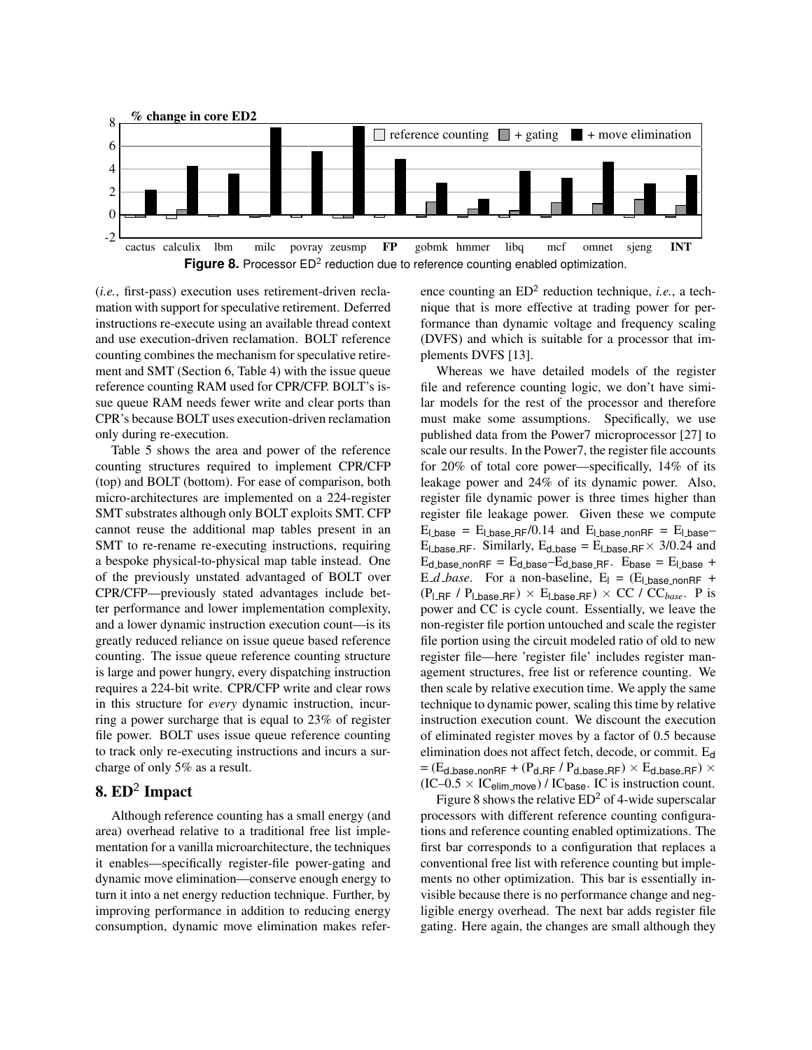

(*i.e.*, first-pass) execution uses retirement-driven reclamation with support for speculative retirement. Deferred instructions re-execute using an available thread context and use execution-driven reclamation. BOLT reference counting combines the mechanism for speculative retirement and SMT (Section 6, Table 4) with the issue queue reference counting RAM used for CPR/CFP. BOLT's issue queue RAM needs fewer write and clear ports than CPR's because BOLT uses execution-driven reclamation only during re-execution.

Table 5 shows the area and power of the reference counting structures required to implement CPR/CFP (top) and BOLT (bottom). For ease of comparison, both micro-architectures are implemented on a 224-register SMT substrates although only BOLT exploits SMT. CFP cannot reuse the additional map tables present in an SMT to re-rename re-executing instructions, requiring a bespoke physical-to-physical map table instead. One of the previously unstated advantaged of BOLT over CPR/CFP—previously stated advantages include better performance and lower implementation complexity, and a lower dynamic instruction execution count—is its greatly reduced reliance on issue queue based reference counting. The issue queue reference counting structure is large and power hungry, every dispatching instruction requires a 224-bit write. CPR/CFP write and clear rows in this structure for *every* dynamic instruction, incurring a power surcharge that is equal to 23% of register file power. BOLT uses issue queue reference counting to track only re-executing instructions and incurs a surcharge of only 5% as a result.

# 8.  $ED^2$  Impact

Although reference counting has a small energy (and area) overhead relative to a traditional free list implementation for a vanilla microarchitecture, the techniques it enables—specifically register-file power-gating and dynamic move elimination—conserve enough energy to turn it into a net energy reduction technique. Further, by improving performance in addition to reducing energy consumption, dynamic move elimination makes refer-

ence counting an  $ED^2$  reduction technique, *i.e.*, a technique that is more effective at trading power for performance than dynamic voltage and frequency scaling (DVFS) and which is suitable for a processor that implements DVFS [13].

Whereas we have detailed models of the register file and reference counting logic, we don't have similar models for the rest of the processor and therefore must make some assumptions. Specifically, we use published data from the Power7 microprocessor [27] to scale our results. In the Power7, the register file accounts for 20% of total core power—specifically, 14% of its leakage power and 24% of its dynamic power. Also, register file dynamic power is three times higher than register file leakage power. Given these we compute  $E_{\text{l} \text{base}} = E_{\text{l} \text{base} \text{-} \text{RF}} / 0.14$  and  $E_{\text{l} \text{base} \text{-} \text{non} \text{RF}} = E_{\text{l} \text{base}} E_{\text{l} \text{base} \text{RF}}$ . Similarly,  $E_{\text{d} \text{base}} = E_{\text{l} \text{base} \text{RF}} \times 3/0.24$  and  $E_{d\text{-base\_nonRF}} = E_{d\text{-base}} - E_{d\text{-base\_RF}}$ .  $E_{base} = E_{d\text{-base}} + E_{d\text{-base}}$ E\_*d\_base*. For a non-baseline,  $E_1 = (E_1)$  base nonRF +  $(P_{LRF} / P_{Lbase,RF}) \times E_{Lbase,RF}) \times CC / CC_{base}$ . P is power and CC is cycle count. Essentially, we leave the non-register file portion untouched and scale the register file portion using the circuit modeled ratio of old to new register file—here 'register file' includes register management structures, free list or reference counting. We then scale by relative execution time. We apply the same technique to dynamic power, scaling this time by relative instruction execution count. We discount the execution of eliminated register moves by a factor of 0.5 because elimination does not affect fetch, decode, or commit. E<sup>d</sup>  $=$  (E<sub>d base nonRF</sub> + (P<sub>d RF</sub> / P<sub>d base RF</sub>)  $\times$  E<sub>d base RF</sub>)  $\times$  $(IC-0.5 \times IC_{elim\_move}) / IC_{base}$ . IC is instruction count.

Figure 8 shows the relative  $ED^2$  of 4-wide superscalar processors with different reference counting configurations and reference counting enabled optimizations. The first bar corresponds to a configuration that replaces a conventional free list with reference counting but implements no other optimization. This bar is essentially invisible because there is no performance change and negligible energy overhead. The next bar adds register file gating. Here again, the changes are small although they